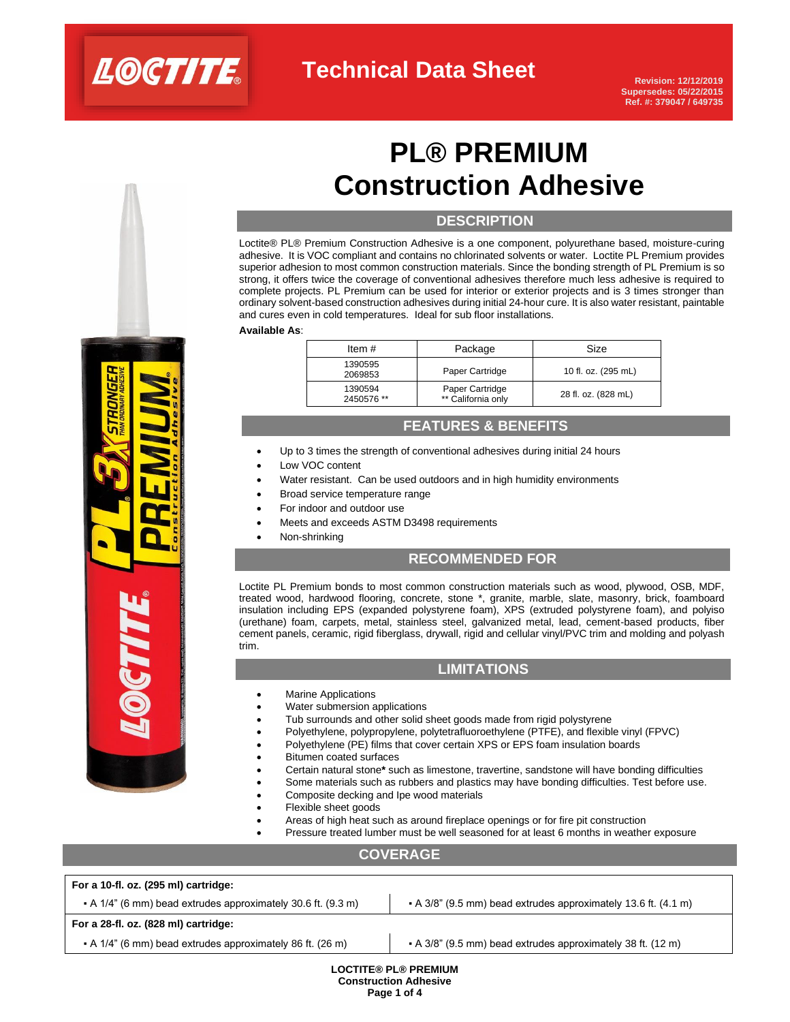

# **PL® PREMIUM Construction Adhesive**

## **DESCRIPTION**

Loctite® PL® Premium Construction Adhesive is a one component, polyurethane based, moisture-curing adhesive. It is VOC compliant and contains no chlorinated solvents or water. Loctite PL Premium provides superior adhesion to most common construction materials. Since the bonding strength of PL Premium is so strong, it offers twice the coverage of conventional adhesives therefore much less adhesive is required to complete projects. PL Premium can be used for interior or exterior projects and is 3 times stronger than ordinary solvent-based construction adhesives during initial 24-hour cure. It is also water resistant, paintable and cures even in cold temperatures. Ideal for sub floor installations.

#### **Available As**:

| Item $#$              | Package                               | Size                |
|-----------------------|---------------------------------------|---------------------|
| 1390595<br>2069853    | Paper Cartridge                       | 10 fl. oz. (295 mL) |
| 1390594<br>2450576 ** | Paper Cartridge<br>** California only | 28 fl. oz. (828 mL) |

## **FEATURES & BENEFITS**

- Up to 3 times the strength of conventional adhesives during initial 24 hours
- Low VOC content
- Water resistant. Can be used outdoors and in high humidity environments
- Broad service temperature range
- For indoor and outdoor use
- Meets and exceeds ASTM D3498 requirements
- Non-shrinking

### **RECOMMENDED FOR**

Loctite PL Premium bonds to most common construction materials such as wood, plywood, OSB, MDF, treated wood, hardwood flooring, concrete, stone \*, granite, marble, slate, masonry, brick, foamboard insulation including EPS (expanded polystyrene foam), XPS (extruded polystyrene foam), and polyiso (urethane) foam, carpets, metal, stainless steel, galvanized metal, lead, cement-based products, fiber cement panels, ceramic, rigid fiberglass, drywall, rigid and cellular vinyl/PVC trim and molding and polyash trim.

### **LIMITATIONS**

- **Marine Applications**
- Water submersion applications
- Tub surrounds and other solid sheet goods made from rigid polystyrene
- Polyethylene, polypropylene, polytetrafluoroethylene (PTFE), and flexible vinyl (FPVC)
- Polyethylene (PE) films that cover certain XPS or EPS foam insulation boards
- Bitumen coated surfaces
- Certain natural stone**\*** such as limestone, travertine, sandstone will have bonding difficulties
- Some materials such as rubbers and plastics may have bonding difficulties. Test before use.
- Composite decking and Ipe wood materials
- Flexible sheet goods
- Areas of high heat such as around fireplace openings or for fire pit construction
- Pressure treated lumber must be well seasoned for at least 6 months in weather exposure

## **COVERAGE**

| For a 10-fl. oz. (295 ml) cartridge:                                 |                                                                        |  |  |  |
|----------------------------------------------------------------------|------------------------------------------------------------------------|--|--|--|
| $\bullet$ A 1/4" (6 mm) bead extrudes approximately 30.6 ft. (9.3 m) | $\bullet$ A 3/8" (9.5 mm) bead extrudes approximately 13.6 ft. (4.1 m) |  |  |  |
| For a 28-fl. oz. (828 ml) cartridge:                                 |                                                                        |  |  |  |
| • A 1/4" (6 mm) bead extrudes approximately 86 ft. (26 m)            | • A 3/8" (9.5 mm) bead extrudes approximately 38 ft. (12 m)            |  |  |  |
| <b>LOCTITE® PL® PREMIUM</b><br><b>Construction Adhesive</b>          |                                                                        |  |  |  |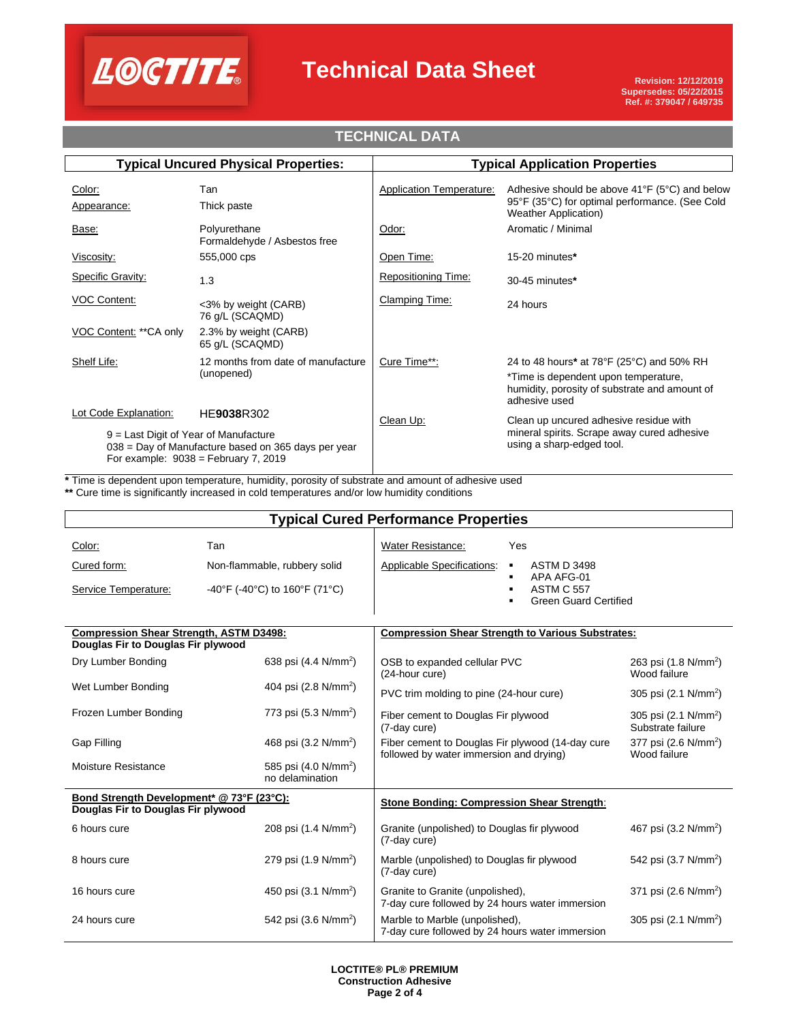

## **Technical Data Sheet**

## **TECHNICAL DATA**

| <b>Typical Uncured Physical Properties:</b>                                                                                              |                                                  | <b>Typical Application Properties</b> |                                                                                                                                                     |  |
|------------------------------------------------------------------------------------------------------------------------------------------|--------------------------------------------------|---------------------------------------|-----------------------------------------------------------------------------------------------------------------------------------------------------|--|
| Color:<br>Appearance:                                                                                                                    | Tan<br>Thick paste                               | <b>Application Temperature:</b>       | Adhesive should be above $41^{\circ}F$ (5°C) and below<br>95°F (35°C) for optimal performance. (See Cold<br><b>Weather Application</b> )            |  |
| Base:                                                                                                                                    | Polyurethane<br>Formaldehyde / Asbestos free     | Odor:                                 | Aromatic / Minimal                                                                                                                                  |  |
| Viscosity:                                                                                                                               | 555,000 cps                                      | Open Time:                            | 15-20 minutes*                                                                                                                                      |  |
| Specific Gravity:                                                                                                                        | 1.3                                              | Repositioning Time:                   | 30-45 minutes*                                                                                                                                      |  |
| <b>VOC Content:</b>                                                                                                                      | <3% by weight (CARB)<br>76 g/L (SCAQMD)          | Clamping Time:                        | 24 hours                                                                                                                                            |  |
| VOC Content: ** CA only                                                                                                                  | 2.3% by weight (CARB)<br>65 g/L (SCAQMD)         |                                       |                                                                                                                                                     |  |
| Shelf Life:                                                                                                                              | 12 months from date of manufacture<br>(unopened) | Cure Time**:                          | 24 to 48 hours* at 78°F (25°C) and 50% RH<br>*Time is dependent upon temperature,<br>humidity, porosity of substrate and amount of<br>adhesive used |  |
| Lot Code Explanation:                                                                                                                    | HE9038R302                                       | Clean Up:                             | Clean up uncured adhesive residue with                                                                                                              |  |
| 9 = Last Digit of Year of Manufacture<br>$038$ = Day of Manufacture based on 365 days per year<br>For example: $9038 =$ February 7, 2019 |                                                  | using a sharp-edged tool.             | mineral spirits. Scrape away cured adhesive                                                                                                         |  |

**\*** Time is dependent upon temperature, humidity, porosity of substrate and amount of adhesive used

**\*\*** Cure time is significantly increased in cold temperatures and/or low humidity conditions

| <b>Typical Cured Performance Properties</b>                                          |                                                                      |                                                                                             |                                                                                                                     |                                                       |
|--------------------------------------------------------------------------------------|----------------------------------------------------------------------|---------------------------------------------------------------------------------------------|---------------------------------------------------------------------------------------------------------------------|-------------------------------------------------------|
| Color:<br>Cured form:<br>Service Temperature:                                        | Tan<br>Non-flammable, rubbery solid<br>-40°F (-40°C) to 160°F (71°C) | Water Resistance:<br>Applicable Specifications:                                             | Yes<br><b>ASTM D 3498</b><br>٠<br>APA AFG-01<br>$\blacksquare$<br><b>ASTM C 557</b><br><b>Green Guard Certified</b> |                                                       |
| <b>Compression Shear Strength, ASTM D3498:</b><br>Douglas Fir to Douglas Fir plywood |                                                                      | <b>Compression Shear Strength to Various Substrates:</b>                                    |                                                                                                                     |                                                       |
| Dry Lumber Bonding                                                                   | 638 psi (4.4 N/mm <sup>2</sup> )                                     | OSB to expanded cellular PVC<br>(24-hour cure)                                              |                                                                                                                     | 263 psi (1.8 N/mm <sup>2</sup> )<br>Wood failure      |
| Wet Lumber Bonding                                                                   | 404 psi (2.8 N/mm <sup>2</sup> )                                     | PVC trim molding to pine (24-hour cure)                                                     |                                                                                                                     | 305 psi (2.1 N/mm <sup>2</sup> )                      |
| Frozen Lumber Bonding                                                                | 773 psi (5.3 N/mm <sup>2</sup> )                                     | Fiber cement to Douglas Fir plywood<br>(7-day cure)                                         |                                                                                                                     | 305 psi (2.1 N/mm <sup>2</sup> )<br>Substrate failure |
| <b>Gap Filling</b>                                                                   | 468 psi $(3.2 \text{ N/mm}^2)$                                       | Fiber cement to Douglas Fir plywood (14-day cure<br>followed by water immersion and drying) |                                                                                                                     | 377 psi (2.6 N/mm <sup>2</sup> )<br>Wood failure      |
| Moisture Resistance                                                                  | 585 psi (4.0 N/mm <sup>2</sup> )<br>no delamination                  |                                                                                             |                                                                                                                     |                                                       |
| Bond Strength Development* @ 73°F (23°C):<br>Douglas Fir to Douglas Fir plywood      |                                                                      | Stone Bonding: Compression Shear Strength:                                                  |                                                                                                                     |                                                       |
| 6 hours cure                                                                         | 208 psi (1.4 N/mm <sup>2</sup> )                                     | Granite (unpolished) to Douglas fir plywood<br>(7-day cure)                                 |                                                                                                                     | 467 psi (3.2 N/mm <sup>2</sup> )                      |
| 8 hours cure                                                                         | 279 psi (1.9 N/mm <sup>2</sup> )                                     | Marble (unpolished) to Douglas fir plywood<br>(7-day cure)                                  |                                                                                                                     | 542 psi (3.7 N/mm <sup>2</sup> )                      |
| 16 hours cure                                                                        | 450 psi (3.1 N/mm <sup>2</sup> )                                     | Granite to Granite (unpolished),<br>7-day cure followed by 24 hours water immersion         |                                                                                                                     | 371 psi (2.6 N/mm <sup>2</sup> )                      |
| 24 hours cure                                                                        | 542 psi (3.6 N/mm <sup>2</sup> )                                     | Marble to Marble (unpolished),<br>7-day cure followed by 24 hours water immersion           |                                                                                                                     | 305 psi (2.1 N/mm <sup>2</sup> )                      |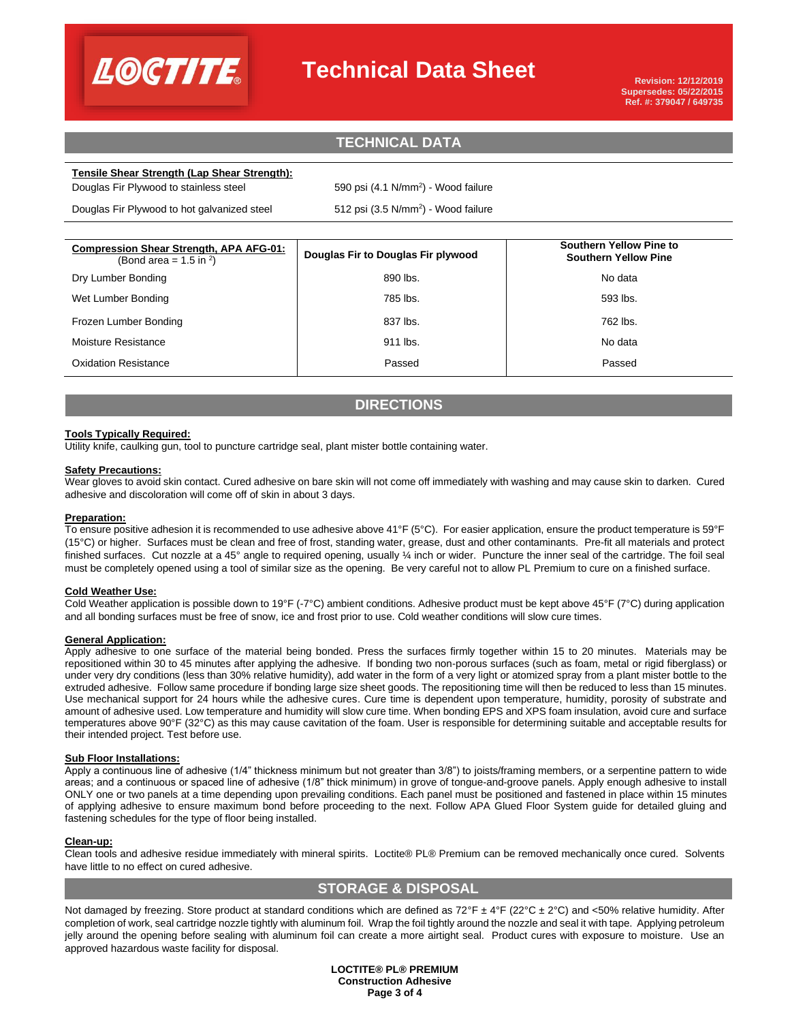

## **Technical Data Sheet**

## **TECHNICAL DATA TECHNICAL DATA**

#### **Tensile Shear Strength (Lap Shear Strength):**

Douglas Fir Plywood to stainless steel

Douglas Fir Plywood to hot galvanized steel

590 psi  $(4.1 \text{ N/mm}^2)$  - Wood failure

 $512$  psi (3.5 N/mm<sup>2</sup>) - Wood failure

| <b>Compression Shear Strength, APA AFG-01:</b><br>(Bond area = $1.5$ in <sup>2</sup> ) | Douglas Fir to Douglas Fir plywood | <b>Southern Yellow Pine to</b><br><b>Southern Yellow Pine</b> |
|----------------------------------------------------------------------------------------|------------------------------------|---------------------------------------------------------------|
| Dry Lumber Bonding                                                                     | 890 lbs.                           | No data                                                       |
| Wet Lumber Bonding                                                                     | 785 lbs.                           | 593 lbs.                                                      |
| Frozen Lumber Bonding                                                                  | 837 lbs.                           | 762 lbs.                                                      |
| Moisture Resistance                                                                    | 911 lbs.                           | No data                                                       |
| <b>Oxidation Resistance</b>                                                            | Passed                             | Passed                                                        |

## **DIRECTIONS**

#### **Tools Typically Required:**

Utility knife, caulking gun, tool to puncture cartridge seal, plant mister bottle containing water.

#### **Safety Precautions:**

Wear gloves to avoid skin contact. Cured adhesive on bare skin will not come off immediately with washing and may cause skin to darken. Cured adhesive and discoloration will come off of skin in about 3 days.

#### **Preparation:**

To ensure positive adhesion it is recommended to use adhesive above 41°F (5°C). For easier application, ensure the product temperature is 59°F (15°C) or higher. Surfaces must be clean and free of frost, standing water, grease, dust and other contaminants. Pre-fit all materials and protect finished surfaces. Cut nozzle at a 45° angle to required opening, usually ¼ inch or wider. Puncture the inner seal of the cartridge. The foil seal must be completely opened using a tool of similar size as the opening. Be very careful not to allow PL Premium to cure on a finished surface.

#### **Cold Weather Use:**

Cold Weather application is possible down to 19°F (-7°C) ambient conditions. Adhesive product must be kept above 45°F (7°C) during application and all bonding surfaces must be free of snow, ice and frost prior to use. Cold weather conditions will slow cure times.

#### **General Application:**

Apply adhesive to one surface of the material being bonded. Press the surfaces firmly together within 15 to 20 minutes. Materials may be repositioned within 30 to 45 minutes after applying the adhesive. If bonding two non-porous surfaces (such as foam, metal or rigid fiberglass) or under very dry conditions (less than 30% relative humidity), add water in the form of a very light or atomized spray from a plant mister bottle to the extruded adhesive. Follow same procedure if bonding large size sheet goods. The repositioning time will then be reduced to less than 15 minutes. Use mechanical support for 24 hours while the adhesive cures. Cure time is dependent upon temperature, humidity, porosity of substrate and amount of adhesive used. Low temperature and humidity will slow cure time. When bonding EPS and XPS foam insulation, avoid cure and surface temperatures above 90°F (32°C) as this may cause cavitation of the foam. User is responsible for determining suitable and acceptable results for their intended project. Test before use.

#### **Sub Floor Installations:**

Apply a continuous line of adhesive (1/4" thickness minimum but not greater than 3/8") to joists/framing members, or a serpentine pattern to wide areas; and a continuous or spaced line of adhesive (1/8" thick minimum) in grove of tongue-and-groove panels. Apply enough adhesive to install ONLY one or two panels at a time depending upon prevailing conditions. Each panel must be positioned and fastened in place within 15 minutes of applying adhesive to ensure maximum bond before proceeding to the next. Follow APA Glued Floor System guide for detailed gluing and fastening schedules for the type of floor being installed.

#### **Clean-up:**

Clean tools and adhesive residue immediately with mineral spirits. Loctite® PL® Premium can be removed mechanically once cured. Solvents have little to no effect on cured adhesive.

## **STORAGE & DISPOSAL**

Not damaged by freezing. Store product at standard conditions which are defined as  $72^{\circ}F \pm 4^{\circ}F (22^{\circ}C \pm 2^{\circ}C)$  and <50% relative humidity. After completion of work, seal cartridge nozzle tightly with aluminum foil. Wrap the foil tightly around the nozzle and seal it with tape. Applying petroleum jelly around the opening before sealing with aluminum foil can create a more airtight seal. Product cures with exposure to moisture. Use an approved hazardous waste facility for disposal.

> **LOCTITE® PL® PREMIUM Construction Adhesive Page 3 of 4**